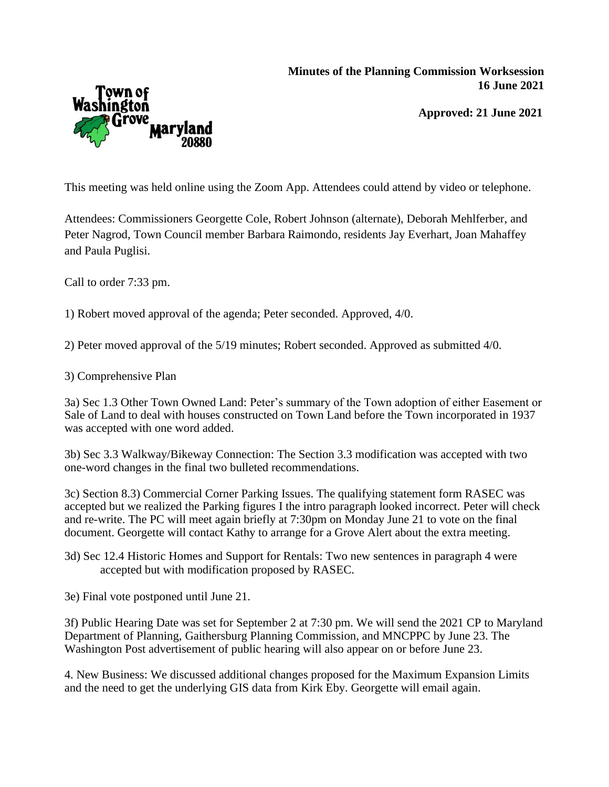## **Minutes of the Planning Commission Worksession 16 June 2021**





This meeting was held online using the Zoom App. Attendees could attend by video or telephone.

Attendees: Commissioners Georgette Cole, Robert Johnson (alternate), Deborah Mehlferber, and Peter Nagrod, Town Council member Barbara Raimondo, residents Jay Everhart, Joan Mahaffey and Paula Puglisi.

Call to order 7:33 pm.

1) Robert moved approval of the agenda; Peter seconded. Approved, 4/0.

2) Peter moved approval of the 5/19 minutes; Robert seconded. Approved as submitted 4/0.

3) Comprehensive Plan

3a) Sec 1.3 Other Town Owned Land: Peter's summary of the Town adoption of either Easement or Sale of Land to deal with houses constructed on Town Land before the Town incorporated in 1937 was accepted with one word added.

3b) Sec 3.3 Walkway/Bikeway Connection: The Section 3.3 modification was accepted with two one-word changes in the final two bulleted recommendations.

3c) Section 8.3) Commercial Corner Parking Issues. The qualifying statement form RASEC was accepted but we realized the Parking figures I the intro paragraph looked incorrect. Peter will check and re-write. The PC will meet again briefly at 7:30pm on Monday June 21 to vote on the final document. Georgette will contact Kathy to arrange for a Grove Alert about the extra meeting.

3d) Sec 12.4 Historic Homes and Support for Rentals: Two new sentences in paragraph 4 were accepted but with modification proposed by RASEC.

3e) Final vote postponed until June 21.

3f) Public Hearing Date was set for September 2 at 7:30 pm. We will send the 2021 CP to Maryland Department of Planning, Gaithersburg Planning Commission, and MNCPPC by June 23. The Washington Post advertisement of public hearing will also appear on or before June 23.

4. New Business: We discussed additional changes proposed for the Maximum Expansion Limits and the need to get the underlying GIS data from Kirk Eby. Georgette will email again.